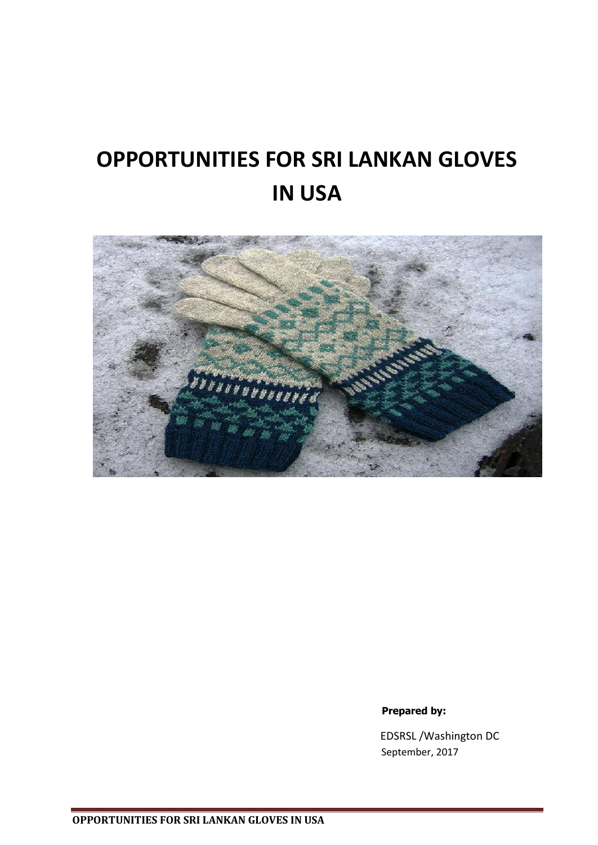# **OPPORTUNITIES FOR SRI LANKAN GLOVES IN USA**



#### **Prepared by:**

 EDSRSL /Washington DC September, 2017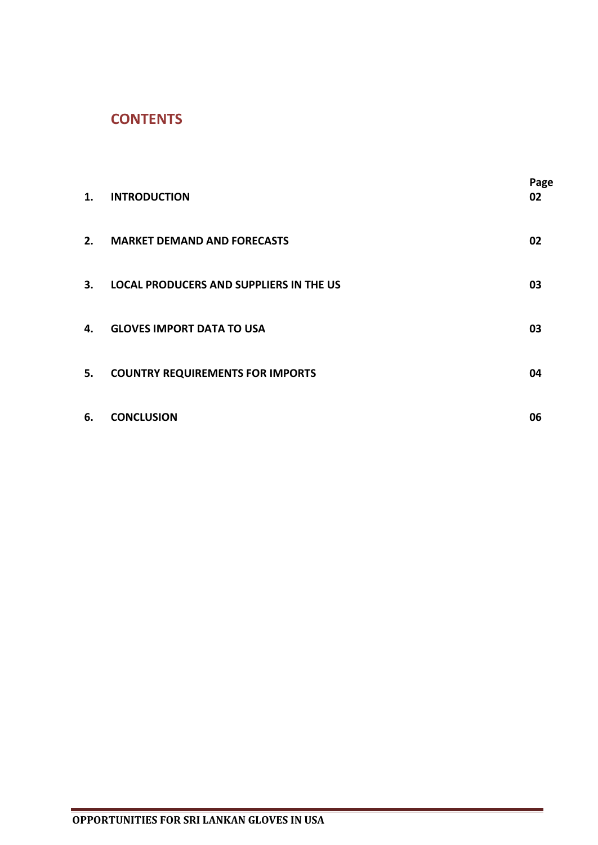## **CONTENTS**

| 1. | <b>INTRODUCTION</b>                            | Page<br>02 |
|----|------------------------------------------------|------------|
| 2. | <b>MARKET DEMAND AND FORECASTS</b>             | 02         |
| 3. | <b>LOCAL PRODUCERS AND SUPPLIERS IN THE US</b> | 03         |
| 4. | <b>GLOVES IMPORT DATA TO USA</b>               | 03         |
| 5. | <b>COUNTRY REQUIREMENTS FOR IMPORTS</b>        | 04         |
| 6. | <b>CONCLUSION</b>                              | 06         |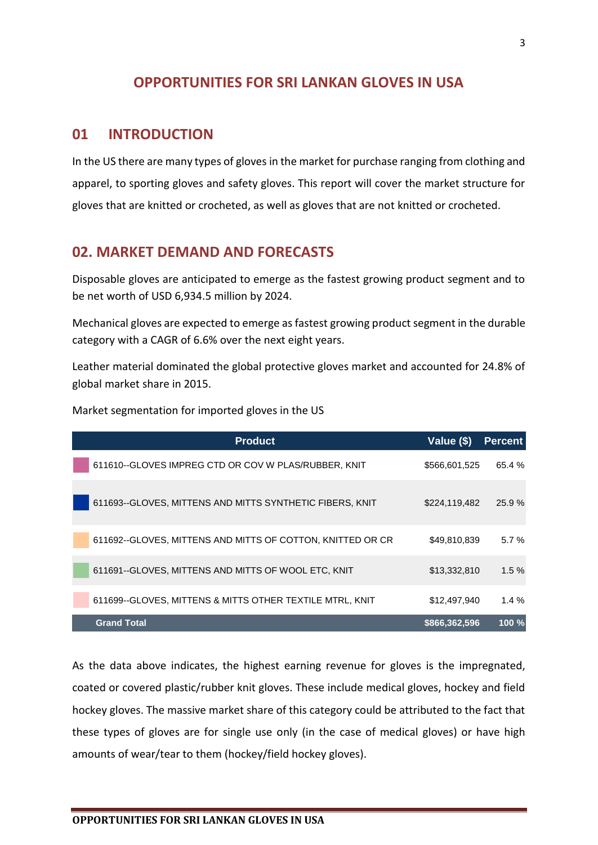## **OPPORTUNITIES FOR SRI LANKAN GLOVES IN USA**

### **01 INTRODUCTION**

In the US there are many types of gloves in the market for purchase ranging from clothing and apparel, to sporting gloves and safety gloves. This report will cover the market structure for gloves that are knitted or crocheted, as well as gloves that are not knitted or crocheted.

## **02. MARKET DEMAND AND FORECASTS**

Disposable gloves are anticipated to emerge as the fastest growing product segment and to be net worth of USD 6,934.5 million by 2024.

Mechanical gloves are expected to emerge as fastest growing product segment in the durable category with a CAGR of 6.6% over the next eight years.

Leather material dominated the global protective gloves market and accounted for 24.8% of global market share in 2015.

Market segmentation for imported gloves in the US

| <b>Product</b>                                             | Value (\$)    | <b>Percent</b> |
|------------------------------------------------------------|---------------|----------------|
| 611610--GLOVES IMPREG CTD OR COV W PLAS/RUBBER, KNIT       | \$566,601,525 | 65.4 %         |
| 611693--GLOVES, MITTENS AND MITTS SYNTHETIC FIBERS, KNIT   | \$224,119,482 | 25.9%          |
| 611692--GLOVES, MITTENS AND MITTS OF COTTON, KNITTED OR CR | \$49,810,839  | 5.7%           |
| 611691--GLOVES, MITTENS AND MITTS OF WOOL ETC, KNIT        | \$13,332,810  | 1.5%           |
| 611699--GLOVES, MITTENS & MITTS OTHER TEXTILE MTRL, KNIT   | \$12,497,940  | $1.4\%$        |
| <b>Grand Total</b>                                         | \$866,362,596 | 100%           |

As the data above indicates, the highest earning revenue for gloves is the impregnated, coated or covered plastic/rubber knit gloves. These include medical gloves, hockey and field hockey gloves. The massive market share of this category could be attributed to the fact that these types of gloves are for single use only (in the case of medical gloves) or have high amounts of wear/tear to them (hockey/field hockey gloves).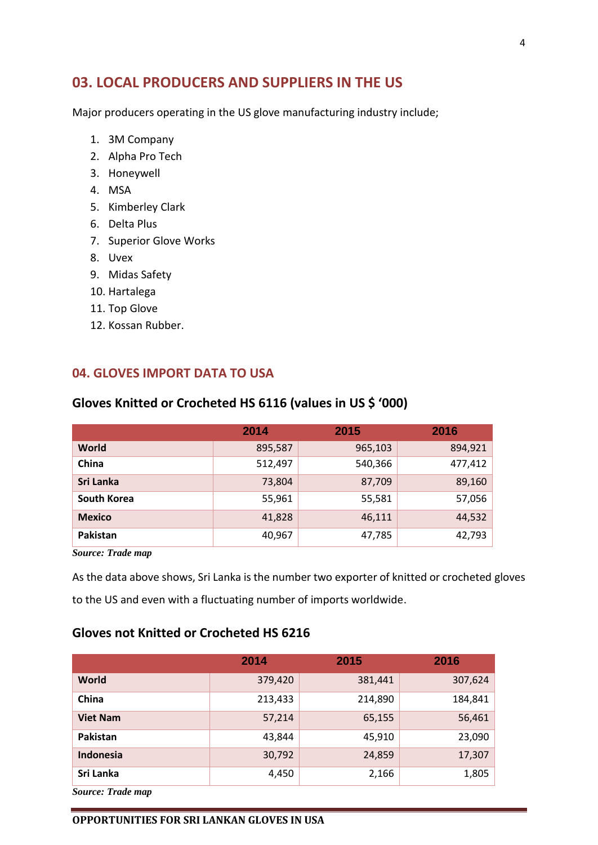## **03. LOCAL PRODUCERS AND SUPPLIERS IN THE US**

Major producers operating in the US glove manufacturing industry include;

- 1. 3M Company
- 2. Alpha Pro Tech
- 3. Honeywell
- 4. MSA
- 5. Kimberley Clark
- 6. Delta Plus
- 7. Superior Glove Works
- 8. Uvex
- 9. Midas Safety
- 10. Hartalega
- 11. Top Glove
- 12. Kossan Rubber.

#### **04. GLOVES IMPORT DATA TO USA**

|                    | 2014    | 2015    | 2016    |
|--------------------|---------|---------|---------|
| World              | 895,587 | 965,103 | 894,921 |
| China              | 512,497 | 540,366 | 477,412 |
| Sri Lanka          | 73,804  | 87,709  | 89,160  |
| <b>South Korea</b> | 55,961  | 55,581  | 57,056  |
| <b>Mexico</b>      | 41,828  | 46,111  | 44,532  |
| Pakistan           | 40,967  | 47,785  | 42,793  |

#### **Gloves Knitted or Crocheted HS 6116 (values in US \$ '000)**

*Source: Trade map*

As the data above shows, Sri Lanka is the number two exporter of knitted or crocheted gloves to the US and even with a fluctuating number of imports worldwide.

#### **Gloves not Knitted or Crocheted HS 6216**

|                   | 2014    | 2015    | 2016    |
|-------------------|---------|---------|---------|
| <b>World</b>      | 379,420 | 381,441 | 307,624 |
| China             | 213,433 | 214,890 | 184,841 |
| <b>Viet Nam</b>   | 57,214  | 65,155  | 56,461  |
| Pakistan          | 43,844  | 45,910  | 23,090  |
| Indonesia         | 30,792  | 24,859  | 17,307  |
| Sri Lanka         | 4,450   | 2,166   | 1,805   |
| Source: Trade man |         |         |         |

*Source: Trade map*

#### **OPPORTUNITIES FOR SRI LANKAN GLOVES IN USA**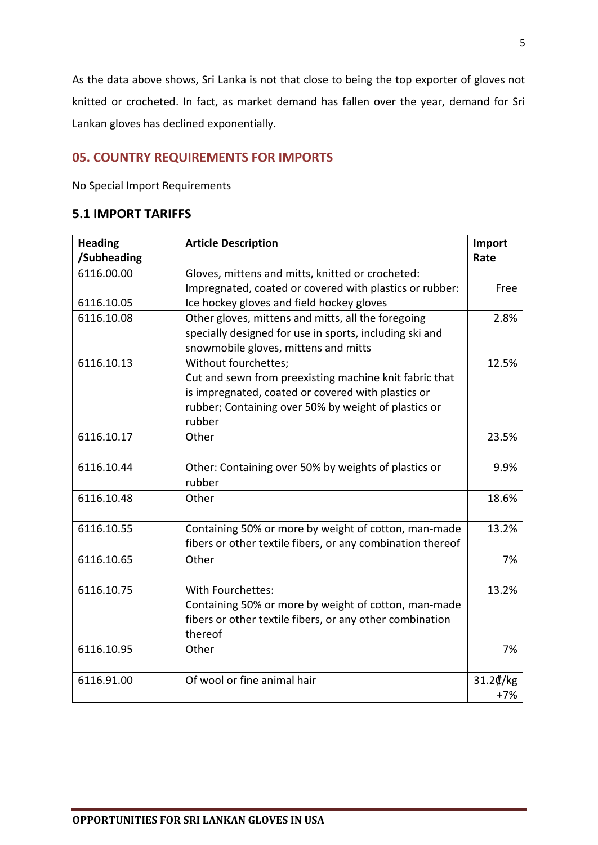As the data above shows, Sri Lanka is not that close to being the top exporter of gloves not knitted or crocheted. In fact, as market demand has fallen over the year, demand for Sri Lankan gloves has declined exponentially.

#### **05. COUNTRY REQUIREMENTS FOR IMPORTS**

No Special Import Requirements

#### **5.1 IMPORT TARIFFS**

| <b>Heading</b><br>/Subheading | <b>Article Description</b>                                     | Import<br>Rate |
|-------------------------------|----------------------------------------------------------------|----------------|
| 6116.00.00                    | Gloves, mittens and mitts, knitted or crocheted:               |                |
|                               | Impregnated, coated or covered with plastics or rubber:        | Free           |
| 6116.10.05                    | Ice hockey gloves and field hockey gloves                      |                |
| 6116.10.08                    | Other gloves, mittens and mitts, all the foregoing             | 2.8%           |
|                               | specially designed for use in sports, including ski and        |                |
|                               | snowmobile gloves, mittens and mitts                           |                |
| 6116.10.13                    | Without fourchettes;                                           | 12.5%          |
|                               | Cut and sewn from preexisting machine knit fabric that         |                |
|                               | is impregnated, coated or covered with plastics or             |                |
|                               | rubber; Containing over 50% by weight of plastics or           |                |
|                               | rubber                                                         |                |
| 6116.10.17                    | Other                                                          | 23.5%          |
|                               |                                                                |                |
| 6116.10.44                    | Other: Containing over 50% by weights of plastics or<br>rubber | 9.9%           |
| 6116.10.48                    | Other                                                          | 18.6%          |
|                               |                                                                |                |
| 6116.10.55                    | Containing 50% or more by weight of cotton, man-made           | 13.2%          |
|                               | fibers or other textile fibers, or any combination thereof     |                |
| 6116.10.65                    | Other                                                          | 7%             |
| 6116.10.75                    | With Fourchettes:                                              | 13.2%          |
|                               | Containing 50% or more by weight of cotton, man-made           |                |
|                               | fibers or other textile fibers, or any other combination       |                |
|                               | thereof                                                        |                |
| 6116.10.95                    | Other                                                          | 7%             |
|                               |                                                                |                |
| 6116.91.00                    | Of wool or fine animal hair                                    | 31.2¢/kg       |
|                               |                                                                | $+7%$          |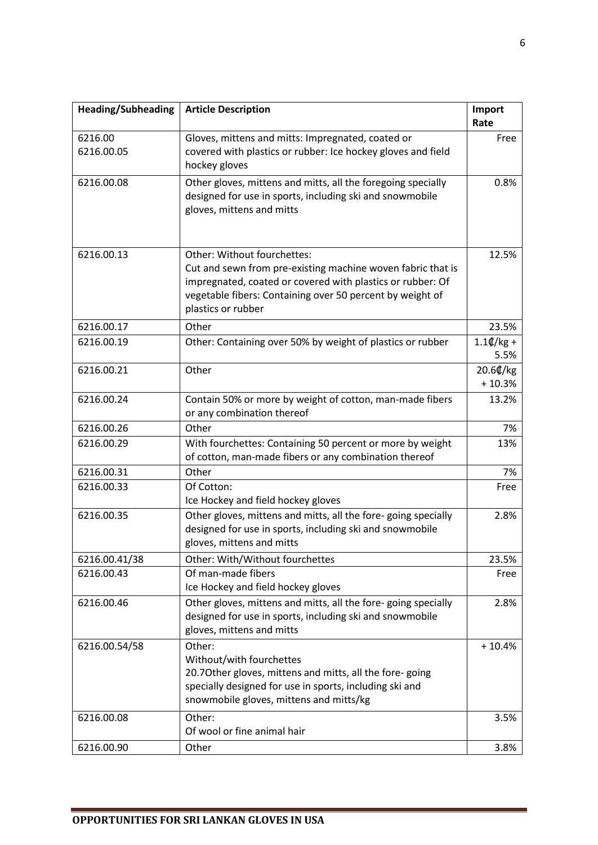| <b>Heading/Subheading</b> | <b>Article Description</b>                                                                                                                                                                                                                  | Import<br>Rate       |
|---------------------------|---------------------------------------------------------------------------------------------------------------------------------------------------------------------------------------------------------------------------------------------|----------------------|
| 6216.00<br>6216.00.05     | Gloves, mittens and mitts: Impregnated, coated or<br>covered with plastics or rubber: Ice hockey gloves and field<br>hockey gloves                                                                                                          | Free                 |
| 6216.00.08                | Other gloves, mittens and mitts, all the foregoing specially<br>designed for use in sports, including ski and snowmobile<br>gloves, mittens and mitts                                                                                       | 0.8%                 |
| 6216.00.13                | Other: Without fourchettes:<br>Cut and sewn from pre-existing machine woven fabric that is<br>impregnated, coated or covered with plastics or rubber: Of<br>vegetable fibers: Containing over 50 percent by weight of<br>plastics or rubber | 12.5%                |
| 6216.00.17                | Other                                                                                                                                                                                                                                       | 23.5%                |
| 6216.00.19                | Other: Containing over 50% by weight of plastics or rubber                                                                                                                                                                                  | $1.1$ ¢/kg +<br>5.5% |
| 6216.00.21                | Other                                                                                                                                                                                                                                       | 20.6¢/kg<br>$+10.3%$ |
| 6216.00.24                | Contain 50% or more by weight of cotton, man-made fibers<br>or any combination thereof                                                                                                                                                      | 13.2%                |
| 6216.00.26                | Other                                                                                                                                                                                                                                       | 7%                   |
| 6216.00.29                | With fourchettes: Containing 50 percent or more by weight<br>of cotton, man-made fibers or any combination thereof                                                                                                                          | 13%                  |
| 6216.00.31                | Other                                                                                                                                                                                                                                       | 7%                   |
| 6216.00.33                | Of Cotton:<br>Ice Hockey and field hockey gloves                                                                                                                                                                                            | Free                 |
| 6216.00.35                | Other gloves, mittens and mitts, all the fore-going specially<br>designed for use in sports, including ski and snowmobile<br>gloves, mittens and mitts                                                                                      | 2.8%                 |
| 6216.00.41/38             | Other: With/Without fourchettes                                                                                                                                                                                                             | 23.5%                |
| 6216.00.43                | Of man-made fibers<br>Ice Hockey and field hockey gloves                                                                                                                                                                                    | Free                 |
| 6216.00.46                | Other gloves, mittens and mitts, all the fore-going specially<br>designed for use in sports, including ski and snowmobile<br>gloves, mittens and mitts                                                                                      | 2.8%                 |
| 6216.00.54/58             | Other:<br>Without/with fourchettes<br>20.70ther gloves, mittens and mitts, all the fore-going<br>specially designed for use in sports, including ski and<br>snowmobile gloves, mittens and mitts/kg                                         | $+10.4%$             |
| 6216.00.08                | Other:<br>Of wool or fine animal hair                                                                                                                                                                                                       | 3.5%                 |
| 6216.00.90                | Other                                                                                                                                                                                                                                       | 3.8%                 |